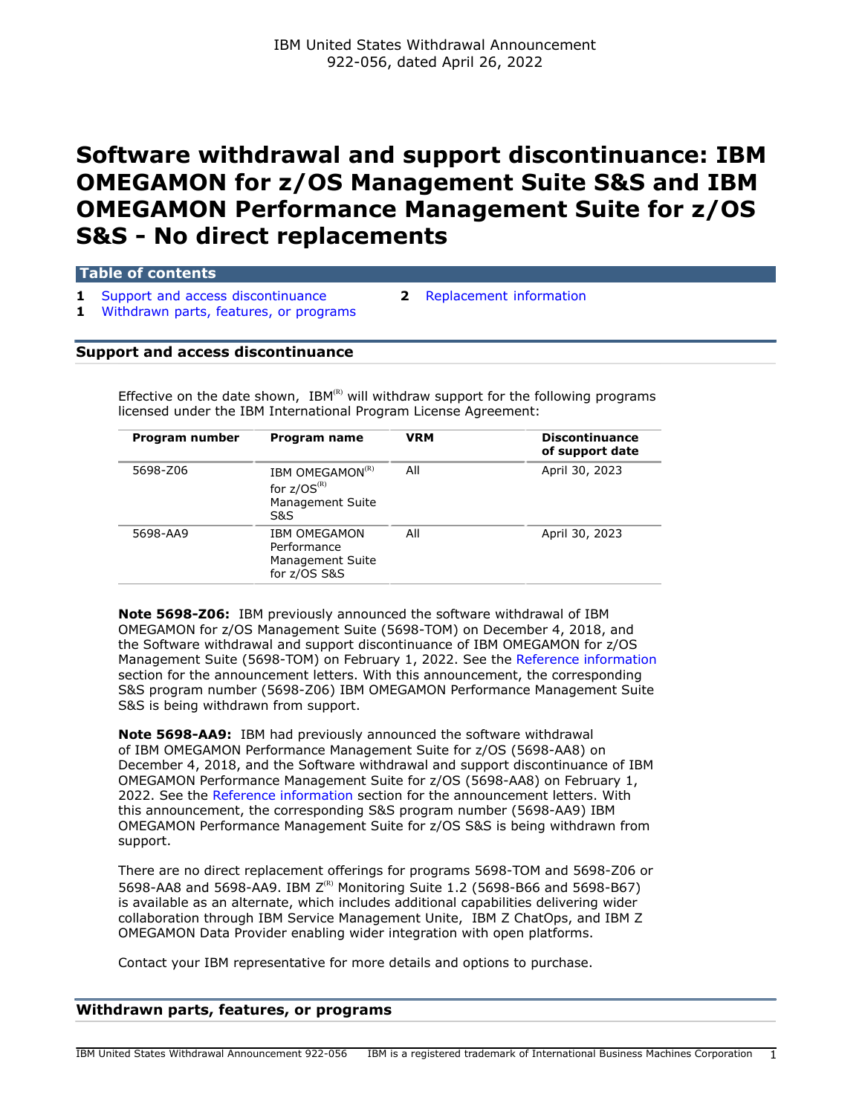# **Software withdrawal and support discontinuance: IBM OMEGAMON for z/OS Management Suite S&S and IBM OMEGAMON Performance Management Suite for z/OS S&S - No direct replacements**

**Table of contents**

**1** [Support and access discontinuance](#page-0-0) **2** [Replacement information](#page-1-0) **1** [Withdrawn parts, features, or programs](#page-0-1)

# <span id="page-0-0"></span>**Support and access discontinuance**

Effective on the date shown,  $IBM^{(R)}$  will withdraw support for the following programs licensed under the IBM International Program License Agreement:

| Program number | Program name                                                               | <b>VRM</b> | <b>Discontinuance</b><br>of support date |  |
|----------------|----------------------------------------------------------------------------|------------|------------------------------------------|--|
| 5698-Z06       | IBM OMEGAMON <sup>(R)</sup><br>for $z/OS^{(R)}$<br>Management Suite<br>S&S | All        | April 30, 2023                           |  |
| 5698-AA9       | <b>IBM OMEGAMON</b><br>Performance<br>Management Suite<br>for z/OS S&S     | All        | April 30, 2023                           |  |
|                |                                                                            |            |                                          |  |

**Note 5698-Z06:** IBM previously announced the software withdrawal of IBM OMEGAMON for z/OS Management Suite (5698-TOM) on December 4, 2018, and the Software withdrawal and support discontinuance of IBM OMEGAMON for z/OS Management Suite (5698-TOM) on February 1, 2022. See the [Reference information](#page-1-1) section for the announcement letters. With this announcement, the corresponding S&S program number (5698-Z06) IBM OMEGAMON Performance Management Suite S&S is being withdrawn from support.

**Note 5698-AA9:** IBM had previously announced the software withdrawal of IBM OMEGAMON Performance Management Suite for z/OS (5698-AA8) on December 4, 2018, and the Software withdrawal and support discontinuance of IBM OMEGAMON Performance Management Suite for z/OS (5698-AA8) on February 1, 2022. See the [Reference information](#page-1-1) section for the announcement letters. With this announcement, the corresponding S&S program number (5698-AA9) IBM OMEGAMON Performance Management Suite for z/OS S&S is being withdrawn from support.

There are no direct replacement offerings for programs 5698-TOM and 5698-Z06 or 5698-AA8 and 5698-AA9. IBM  $Z^{(R)}$  Monitoring Suite 1.2 (5698-B66 and 5698-B67) is available as an alternate, which includes additional capabilities delivering wider collaboration through IBM Service Management Unite, IBM Z ChatOps, and IBM Z OMEGAMON Data Provider enabling wider integration with open platforms.

Contact your IBM representative for more details and options to purchase.

#### <span id="page-0-1"></span>**Withdrawn parts, features, or programs**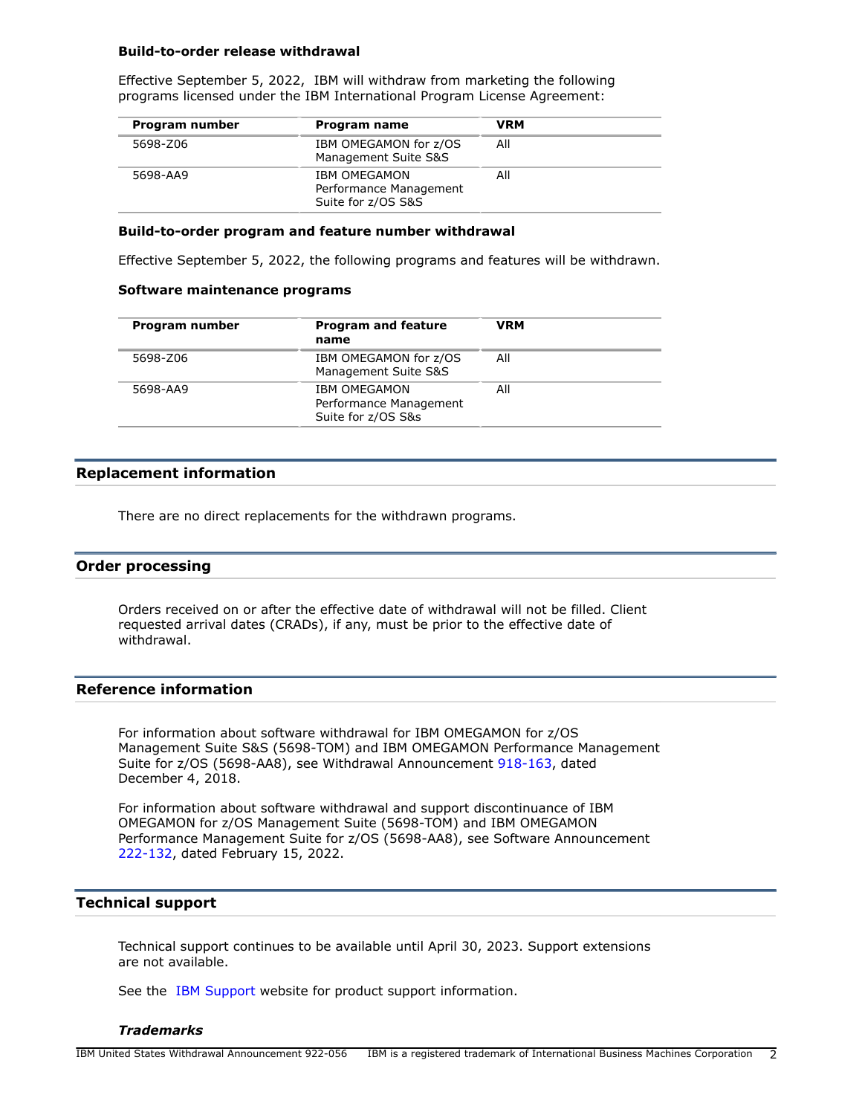#### **Build-to-order release withdrawal**

Effective September 5, 2022, IBM will withdraw from marketing the following programs licensed under the IBM International Program License Agreement:

| Program number | Program name                                                        | <b>VRM</b> |  |
|----------------|---------------------------------------------------------------------|------------|--|
| 5698-Z06       | IBM OMEGAMON for z/OS<br>Management Suite S&S                       | All        |  |
| 5698-AA9       | <b>IBM OMEGAMON</b><br>Performance Management<br>Suite for z/OS S&S | All        |  |

### **Build-to-order program and feature number withdrawal**

Effective September 5, 2022, the following programs and features will be withdrawn.

#### **Software maintenance programs**

| Program number | <b>Program and feature</b><br>name                                  | <b>VRM</b> |
|----------------|---------------------------------------------------------------------|------------|
| 5698-Z06       | IBM OMEGAMON for z/OS<br>Management Suite S&S                       | All        |
| 5698-AA9       | <b>IBM OMEGAMON</b><br>Performance Management<br>Suite for z/OS S&s | All        |

# <span id="page-1-0"></span>**Replacement information**

There are no direct replacements for the withdrawn programs.

## **Order processing**

Orders received on or after the effective date of withdrawal will not be filled. Client requested arrival dates (CRADs), if any, must be prior to the effective date of withdrawal.

# <span id="page-1-1"></span>**Reference information**

For information about software withdrawal for IBM OMEGAMON for z/OS Management Suite S&S (5698-TOM) and IBM OMEGAMON Performance Management Suite for z/OS (5698-AA8), see Withdrawal Announcement [918-163](http://www.ibm.com/common/ssi/cgi-bin/ssialias?infotype=an&subtype=ca&appname=gpateam&supplier=897&letternum=ENUS918-163), dated December 4, 2018.

For information about software withdrawal and support discontinuance of IBM OMEGAMON for z/OS Management Suite (5698-TOM) and IBM OMEGAMON Performance Management Suite for z/OS (5698-AA8), see Software Announcement [222-132](http://www.ibm.com/common/ssi/cgi-bin/ssialias?infotype=an&subtype=ca&appname=gpateam&supplier=897&letternum=ENUS222-132), dated February 15, 2022.

## **Technical support**

Technical support continues to be available until April 30, 2023. Support extensions are not available.

See the [IBM Support](https://www.ibm.com/support) website for product support information.

### *Trademarks*